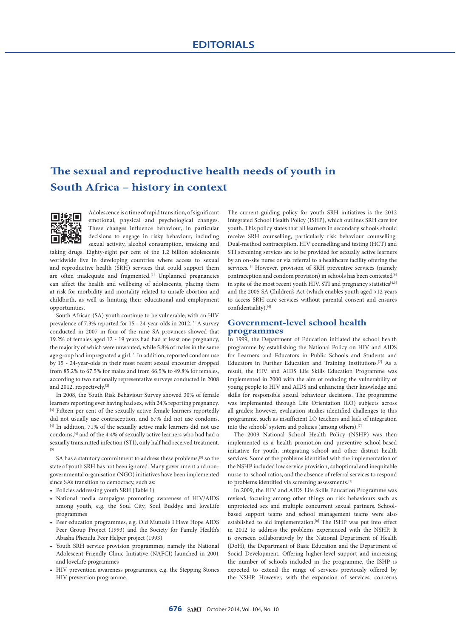# **The sexual and reproductive health needs of youth in South Africa – history in context**



Adolescence is a time of rapid transition, of significant emotional, physical and psychological changes. These changes influence behaviour, in particular decisions to engage in risky behaviour, including sexual activity, alcohol consumption, smoking and

taking drugs. Eighty-eight per cent of the 1.2 billion adolescents worldwide live in developing countries where access to sexual and reproductive health (SRH) services that could support them are often inadequate and fragmented.<sup>[1]</sup> Unplanned pregnancies can affect the health and wellbeing of adolescents, placing them at risk for morbidity and mortality related to unsafe abortion and childbirth, as well as limiting their educational and employment opportunities.

South African (SA) youth continue to be vulnerable, with an HIV prevalence of 7.3% reported for 15 - 24-year-olds in 2012.[2] A survey conducted in 2007 in four of the nine SA provinces showed that 19.2% of females aged 12 - 19 years had had at least one pregnancy, the majority of which were unwanted, while 5.8% of males in the same age group had impregnated a girl.<sup>[3]</sup> In addition, reported condom use by 15 - 24-year-olds in their most recent sexual encounter dropped from 85.2% to 67.5% for males and from 66.5% to 49.8% for females, according to two nationally representative surveys conducted in 2008 and 2012, respectively.[2]

In 2008, the Youth Risk Behaviour Survey showed 30% of female learners reporting ever having had sex, with 24% reporting pregnancy. [4] Fifteen per cent of the sexually active female learners reportedly did not usually use contraception, and 67% did not use condoms. <sup>[4]</sup> In addition, 71% of the sexually active male learners did not use condoms,[4] and of the 4.4% of sexually active learners who had had a sexually transmitted infection (STI), only half had received treatment. [5]

SA has a statutory commitment to address these problems, [5] so the state of youth SRH has not been ignored. Many government and nongovernmental organisation (NGO) initiatives have been implemented since SA's transition to democracy, such as:

- Policies addressing youth SRH (Table 1)
- National media campaigns promoting awareness of HIV/AIDS among youth, e.g. the Soul City, Soul Buddyz and loveLife programmes
- Peer education programmes, e.g. Old Mutual's I Have Hope AIDS Peer Group Project (1993) and the Society for Family Health's Abasha Phezulu Peer Helper project (1993)
- Youth SRH service provision programmes, namely the National Adolescent Friendly Clinic Initiative (NAFCI) launched in 2001 and loveLife programmes
- HIV prevention awareness programmes, e.g. the Stepping Stones HIV prevention programme.

The current guiding policy for youth SRH initiatives is the 2012 Integrated School Health Policy (ISHP), which outlines SRH care for youth. This policy states that all learners in secondary schools should receive SRH counselling, particularly risk behaviour counselling. Dual-method contraception, HIV counselling and testing (HCT) and STI screening services are to be provided for sexually active learners by an on-site nurse or via referral to a healthcare facility offering the services.<sup>[5]</sup> However, provision of SRH preventive services (namely contraception and condom provision) in schools has been contested<sup>[6]</sup> in spite of the most recent youth HIV, STI and pregnancy statistics  $\left[4,5\right]$ and the 2005 SA Children's Act (which enables youth aged >12 years to access SRH care services without parental consent and ensures confidentiality).[4]

### **Government-level school health programmes**

In 1999, the Department of Education initiated the school health programme by establishing the National Policy on HIV and AIDS for Learners and Educators in Public Schools and Students and Educators in Further Education and Training Institutions.[7] As a result, the HIV and AIDS Life Skills Education Programme was implemented in 2000 with the aim of reducing the vulnerability of young people to HIV and AIDS and enhancing their knowledge and skills for responsible sexual behaviour decisions. The programme was implemented through Life Orientation (LO) subjects across all grades; however, evaluation studies identified challenges to this programme, such as insufficient LO teachers and lack of integration into the schools' system and policies (among others).<sup>[7]</sup>

The 2003 National School Health Policy (NSHP) was then implemented as a health promotion and preventive school-based initiative for youth, integrating school and other district health services. Some of the problems identified with the implementation of the NSHP included low service provision, suboptimal and inequitable nurse-to-school ratios, and the absence of referral services to respond to problems identified via screening assessments.<sup>[5]</sup>

In 2009, the HIV and AIDS Life Skills Education Programme was revised, focusing among other things on risk behaviours such as unprotected sex and multiple concurrent sexual partners. Schoolbased support teams and school management teams were also established to aid implementation.<sup>[8]</sup> The ISHP was put into effect in 2012 to address the problems experienced with the NSHP. It is overseen collaboratively by the National Department of Health (DoH), the Department of Basic Education and the Department of Social Development. Offering higher-level support and increasing the number of schools included in the programme, the ISHP is expected to extend the range of services previously offered by the NSHP. However, with the expansion of services, concerns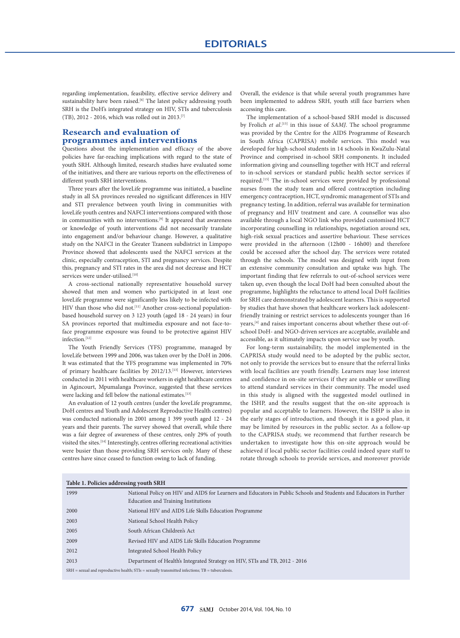regarding implementation, feasibility, effective service delivery and sustainability have been raised.<sup>[6]</sup> The latest policy addressing youth SRH is the DoH's integrated strategy on HIV, STIs and tuberculosis (TB), 2012 - 2016, which was rolled out in 2013.[7]

# **Research and evaluation of programmes and interventions**

Questions about the implementation and efficacy of the above policies have far-reaching implications with regard to the state of youth SRH. Although limited, research studies have evaluated some of the initiatives, and there are various reports on the effectiveness of different youth SRH interventions.

Three years after the loveLife programme was initiated, a baseline study in all SA provinces revealed no significant differences in HIV and STI prevalence between youth living in communities with loveLife youth centres and NAFCI interventions compared with those in communities with no interventions.<sup>[9]</sup> It appeared that awareness or knowledge of youth interventions did not necessarily translate into engagement and/or behaviour change. However, a qualitative study on the NAFCI in the Greater Tzaneen subdistrict in Limpopo Province showed that adolescents used the NAFCI services at the clinic, especially contraception, STI and pregnancy services. Despite this, pregnancy and STI rates in the area did not decrease and HCT services were under-utilised.<sup>[10]</sup>

A cross-sectional nationally representative household survey showed that men and women who participated in at least one loveLife programme were significantly less likely to be infected with HIV than those who did not.<sup>[11]</sup> Another cross-sectional populationbased household survey on 3 123 youth (aged 18 - 24 years) in four SA provinces reported that multimedia exposure and not face-toface programme exposure was found to be protective against HIV infection.[12]

The Youth Friendly Services (YFS) programme, managed by loveLife between 1999 and 2006, was taken over by the DoH in 2006. It was estimated that the YFS programme was implemented in 70% of primary healthcare facilities by 2012/13.[13] However, interviews conducted in 2011 with healthcare workers in eight healthcare centres in Agincourt, Mpumalanga Province, suggested that these services were lacking and fell below the national estimates.<sup>[13]</sup>

An evaluation of 12 youth centres (under the loveLife programme, DoH centres and Youth and Adolescent Reproductive Health centres) was conducted nationally in 2001 among 1 399 youth aged 12 - 24 years and their parents. The survey showed that overall, while there was a fair degree of awareness of these centres, only 29% of youth visited the sites.[14] Interestingly, centres offering recreational activities were busier than those providing SRH services only. Many of these centres have since ceased to function owing to lack of funding.

Overall, the evidence is that while several youth programmes have been implemented to address SRH, youth still face barriers when accessing this care.

The implementation of a school-based SRH model is discussed by Frolich *et al*. [15] in this issue of *SAMJ*. The school programme was provided by the Centre for the AIDS Programme of Research in South Africa (CAPRISA) mobile services. This model was developed for high-school students in 14 schools in KwaZulu-Natal Province and comprised in-school SRH components. It included information giving and counselling together with HCT and referral to in-school services or standard public health sector services if required.<sup>[15]</sup> The in-school services were provided by professional nurses from the study team and offered contraception including emergency contraception, HCT, syndromic management of STIs and pregnancy testing. In addition, referral was available for termination of pregnancy and HIV treatment and care. A counsellor was also available through a local NGO link who provided customised HCT incorporating counselling in relationships, negotiation around sex, high-risk sexual practices and assertive behaviour. These services were provided in the afternoon (12h00 - 16h00) and therefore could be accessed after the school day. The services were rotated through the schools. The model was designed with input from an extensive community consultation and uptake was high. The important finding that few referrals to out-of-school services were taken up, even though the local DoH had been consulted about the programme, highlights the reluctance to attend local DoH facilities for SRH care demonstrated by adolescent learners. This is supported by studies that have shown that healthcare workers lack adolescentfriendly training or restrict services to adolescents younger than 16 years,[4] and raises important concerns about whether these out-ofschool DoH- and NGO-driven services are acceptable, available and accessible, as it ultimately impacts upon service use by youth.

For long-term sustainability, the model implemented in the CAPRISA study would need to be adopted by the public sector, not only to provide the services but to ensure that the referral links with local facilities are youth friendly. Learners may lose interest and confidence in on-site services if they are unable or unwilling to attend standard services in their community. The model used in this study is aligned with the suggested model outlined in the ISHP, and the results suggest that the on-site approach is popular and acceptable to learners. However, the ISHP is also in the early stages of introduction, and though it is a good plan, it may be limited by resources in the public sector. As a follow-up to the CAPRISA study, we recommend that further research be undertaken to investigate how this on-site approach would be achieved if local public sector facilities could indeed spare staff to rotate through schools to provide services, and moreover provide

| Table 1. Policies addressing youth SRH                                                                 |                                                                                                                                                                  |
|--------------------------------------------------------------------------------------------------------|------------------------------------------------------------------------------------------------------------------------------------------------------------------|
| 1999                                                                                                   | National Policy on HIV and AIDS for Learners and Educators in Public Schools and Students and Educators in Further<br><b>Education and Training Institutions</b> |
| 2000                                                                                                   | National HIV and AIDS Life Skills Education Programme                                                                                                            |
| 2003                                                                                                   | National School Health Policy                                                                                                                                    |
| 2005                                                                                                   | South African Children's Act                                                                                                                                     |
| 2009                                                                                                   | Revised HIV and AIDS Life Skills Education Programme                                                                                                             |
| 2012                                                                                                   | Integrated School Health Policy                                                                                                                                  |
| 2013                                                                                                   | Department of Health's Integrated Strategy on HIV, STIs and TB, 2012 - 2016                                                                                      |
| $SRH =$ sexual and reproductive health; $STIs =$ sexually transmitted infections; $TB =$ tuberculosis. |                                                                                                                                                                  |